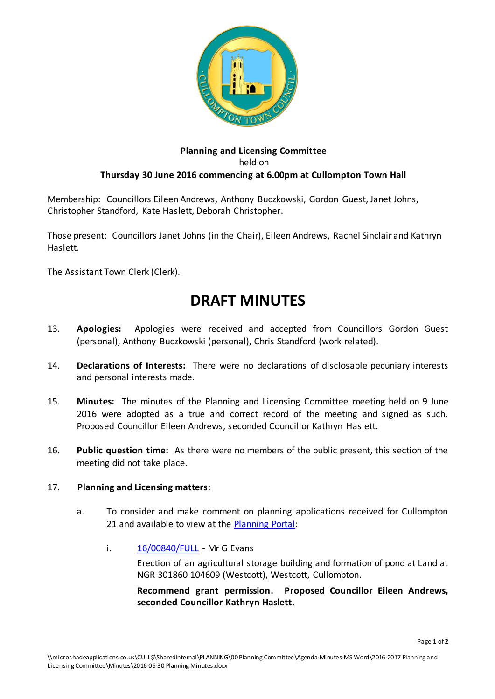

## **Planning and Licensing Committee** held on **Thursday 30 June 2016 commencing at 6.00pm at Cullompton Town Hall**

Membership: Councillors Eileen Andrews, Anthony Buczkowski, Gordon Guest, Janet Johns, Christopher Standford, Kate Haslett, Deborah Christopher.

Those present: Councillors Janet Johns (in the Chair), Eileen Andrews, Rachel Sinclair and Kathryn Haslett.

The Assistant Town Clerk (Clerk).

## **DRAFT MINUTES**

- 13. **Apologies:** Apologies were received and accepted from Councillors Gordon Guest (personal), Anthony Buczkowski (personal), Chris Standford (work related).
- 14. **Declarations of Interests:** There were no declarations of disclosable pecuniary interests and personal interests made.
- 15. **Minutes:** The minutes of the Planning and Licensing Committee meeting held on 9 June 2016 were adopted as a true and correct record of the meeting and signed as such. Proposed Councillor Eileen Andrews, seconded Councillor Kathryn Haslett.
- 16. **Public question time:** As there were no members of the public present, this section of the meeting did not take place.

## 17. **Planning and Licensing matters:**

- a. To consider and make comment on planning applications received for Cullompton 21 and available to view at th[e Planning Portal:](http://planning.middevon.gov.uk/online-applications/refineSearch.do?action=refine)
	- i. [16/00840/FULL](http://docs.middevon.gov.uk/pap/index.asp?caseref=16/00840/FULL) Mr G Evans

Erection of an agricultural storage building and formation of pond at Land at NGR 301860 104609 (Westcott), Westcott, Cullompton.

**Recommend grant permission. Proposed Councillor Eileen Andrews, seconded Councillor Kathryn Haslett.**